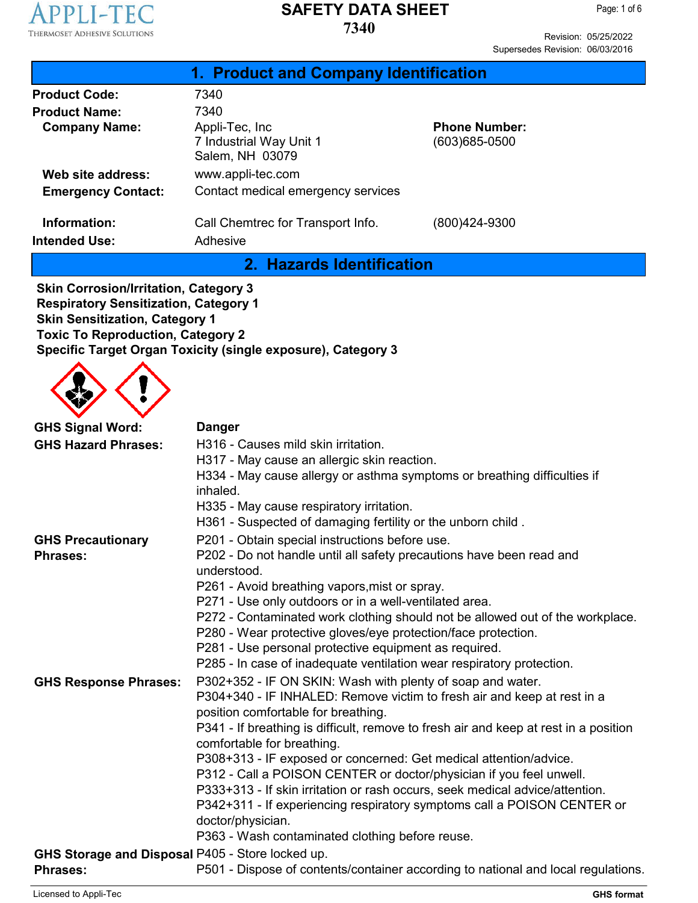

Revision: 05/25/2022 Supersedes Revision: 06/03/2016

| 1. Product and Company Identification                                                                                                                                             |                                                                                      |                      |
|-----------------------------------------------------------------------------------------------------------------------------------------------------------------------------------|--------------------------------------------------------------------------------------|----------------------|
| <b>Product Code:</b>                                                                                                                                                              | 7340                                                                                 |                      |
| <b>Product Name:</b>                                                                                                                                                              | 7340                                                                                 |                      |
| <b>Company Name:</b>                                                                                                                                                              | Appli-Tec, Inc.                                                                      | <b>Phone Number:</b> |
|                                                                                                                                                                                   | 7 Industrial Way Unit 1<br>Salem, NH 03079                                           | (603)685-0500        |
| Web site address:                                                                                                                                                                 | www.appli-tec.com                                                                    |                      |
| <b>Emergency Contact:</b>                                                                                                                                                         | Contact medical emergency services                                                   |                      |
| Information:                                                                                                                                                                      | Call Chemtrec for Transport Info.                                                    | (800)424-9300        |
| <b>Intended Use:</b>                                                                                                                                                              | Adhesive                                                                             |                      |
|                                                                                                                                                                                   | 2. Hazards Identification                                                            |                      |
| <b>Skin Corrosion/Irritation, Category 3</b><br><b>Respiratory Sensitization, Category 1</b><br><b>Skin Sensitization, Category 1</b><br><b>Toxic To Reproduction, Category 2</b> | Specific Target Organ Toxicity (single exposure), Category 3                         |                      |
| <b>GHS Signal Word:</b>                                                                                                                                                           | <b>Danger</b>                                                                        |                      |
| <b>GHS Hazard Phrases:</b>                                                                                                                                                        | H316 - Causes mild skin irritation.                                                  |                      |
|                                                                                                                                                                                   | H317 - May cause an allergic skin reaction.                                          |                      |
|                                                                                                                                                                                   | H334 - May cause allergy or asthma symptoms or breathing difficulties if<br>inhaled. |                      |
|                                                                                                                                                                                   | H335 - May cause respiratory irritation.                                             |                      |

|                                                  | H361 - Suspected of damaging fertility or the unborn child.                          |
|--------------------------------------------------|--------------------------------------------------------------------------------------|
| <b>GHS Precautionary</b>                         | P201 - Obtain special instructions before use.                                       |
| <b>Phrases:</b>                                  | P202 - Do not handle until all safety precautions have been read and                 |
|                                                  | understood.                                                                          |
|                                                  | P261 - Avoid breathing vapors, mist or spray.                                        |
|                                                  | P271 - Use only outdoors or in a well-ventilated area.                               |
|                                                  | P272 - Contaminated work clothing should not be allowed out of the workplace.        |
|                                                  | P280 - Wear protective gloves/eye protection/face protection.                        |
|                                                  | P281 - Use personal protective equipment as required.                                |
|                                                  | P285 - In case of inadequate ventilation wear respiratory protection.                |
| <b>GHS Response Phrases:</b>                     | P302+352 - IF ON SKIN: Wash with plenty of soap and water.                           |
|                                                  | P304+340 - IF INHALED: Remove victim to fresh air and keep at rest in a              |
|                                                  | position comfortable for breathing.                                                  |
|                                                  | P341 - If breathing is difficult, remove to fresh air and keep at rest in a position |
|                                                  | comfortable for breathing.                                                           |
|                                                  | P308+313 - IF exposed or concerned: Get medical attention/advice.                    |
|                                                  | P312 - Call a POISON CENTER or doctor/physician if you feel unwell.                  |
|                                                  | P333+313 - If skin irritation or rash occurs, seek medical advice/attention.         |
|                                                  | P342+311 - If experiencing respiratory symptoms call a POISON CENTER or              |
|                                                  | doctor/physician.                                                                    |
|                                                  | P363 - Wash contaminated clothing before reuse.                                      |
| GHS Storage and Disposal P405 - Store locked up. |                                                                                      |
| <b>Phrases:</b>                                  | P501 - Dispose of contents/container according to national and local regulations.    |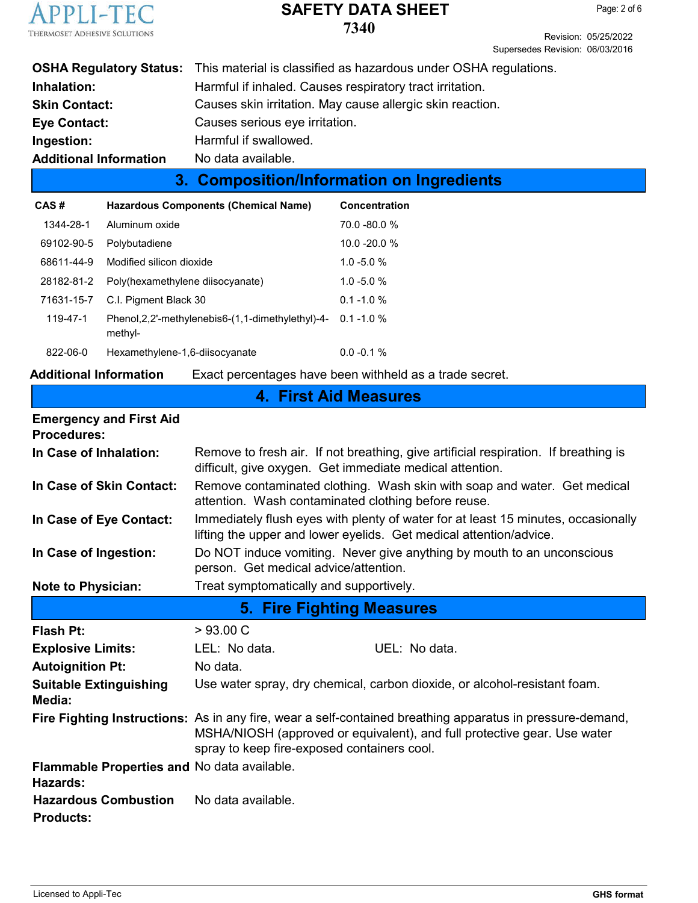

Page: 2 of 6

Revision: 05/25/2022 Supersedes Revision: 06/03/2016

|                               | <b>OSHA Regulatory Status:</b> This material is classified as hazardous under OSHA regulations. |
|-------------------------------|-------------------------------------------------------------------------------------------------|
| Inhalation:                   | Harmful if inhaled. Causes respiratory tract irritation.                                        |
| <b>Skin Contact:</b>          | Causes skin irritation. May cause allergic skin reaction.                                       |
| <b>Eye Contact:</b>           | Causes serious eye irritation.                                                                  |
| Ingestion:                    | Harmful if swallowed.                                                                           |
| <b>Additional Information</b> | No data available.                                                                              |
|                               |                                                                                                 |

# **3. Composition/Information on Ingredients**

| CAS#           | <b>Hazardous Components (Chemical Name)</b>                     | Concentration   |
|----------------|-----------------------------------------------------------------|-----------------|
| 1344-28-1      | Aluminum oxide                                                  | $70.0 - 80.0 %$ |
| 69102-90-5     | Polybutadiene                                                   | $10.0 - 20.0 %$ |
| 68611-44-9     | Modified silicon dioxide                                        | $1.0 - 5.0 %$   |
| 28182-81-2     | Poly(hexamethylene diisocyanate)                                | $1.0 - 5.0 %$   |
| 71631-15-7     | C.I. Pigment Black 30                                           | $0.1 - 1.0 %$   |
| 119-47-1       | Phenol, 2, 2'-methylenebis 6-(1, 1-dimethylethyl)-4-<br>methyl- | $0.1 - 1.0 %$   |
| $822 - 06 - 0$ | Hexamethylene-1,6-diisocyanate                                  | $0.0 - 0.1 %$   |

### **Additional Information** Exact percentages have been withheld as a trade secret.

# **4. First Aid Measures**

| <b>Emergency and First Aid</b><br><b>Procedures:</b>    |                                                                                                                                                                                                                                      |
|---------------------------------------------------------|--------------------------------------------------------------------------------------------------------------------------------------------------------------------------------------------------------------------------------------|
| In Case of Inhalation:                                  | Remove to fresh air. If not breathing, give artificial respiration. If breathing is<br>difficult, give oxygen. Get immediate medical attention.                                                                                      |
| In Case of Skin Contact:                                | Remove contaminated clothing. Wash skin with soap and water. Get medical<br>attention. Wash contaminated clothing before reuse.                                                                                                      |
| In Case of Eye Contact:                                 | Immediately flush eyes with plenty of water for at least 15 minutes, occasionally<br>lifting the upper and lower eyelids. Get medical attention/advice.                                                                              |
| In Case of Ingestion:                                   | Do NOT induce vomiting. Never give anything by mouth to an unconscious<br>person. Get medical advice/attention.                                                                                                                      |
| <b>Note to Physician:</b>                               | Treat symptomatically and supportively.                                                                                                                                                                                              |
|                                                         | <b>5. Fire Fighting Measures</b>                                                                                                                                                                                                     |
| <b>Flash Pt:</b>                                        | >93.00 C                                                                                                                                                                                                                             |
| <b>Explosive Limits:</b>                                | LEL: No data.<br>UEL: No data.                                                                                                                                                                                                       |
|                                                         |                                                                                                                                                                                                                                      |
| <b>Autoignition Pt:</b>                                 | No data.                                                                                                                                                                                                                             |
| <b>Suitable Extinguishing</b><br>Media:                 | Use water spray, dry chemical, carbon dioxide, or alcohol-resistant foam.                                                                                                                                                            |
|                                                         | Fire Fighting Instructions: As in any fire, wear a self-contained breathing apparatus in pressure-demand,<br>MSHA/NIOSH (approved or equivalent), and full protective gear. Use water<br>spray to keep fire-exposed containers cool. |
| Flammable Properties and No data available.<br>Hazards: |                                                                                                                                                                                                                                      |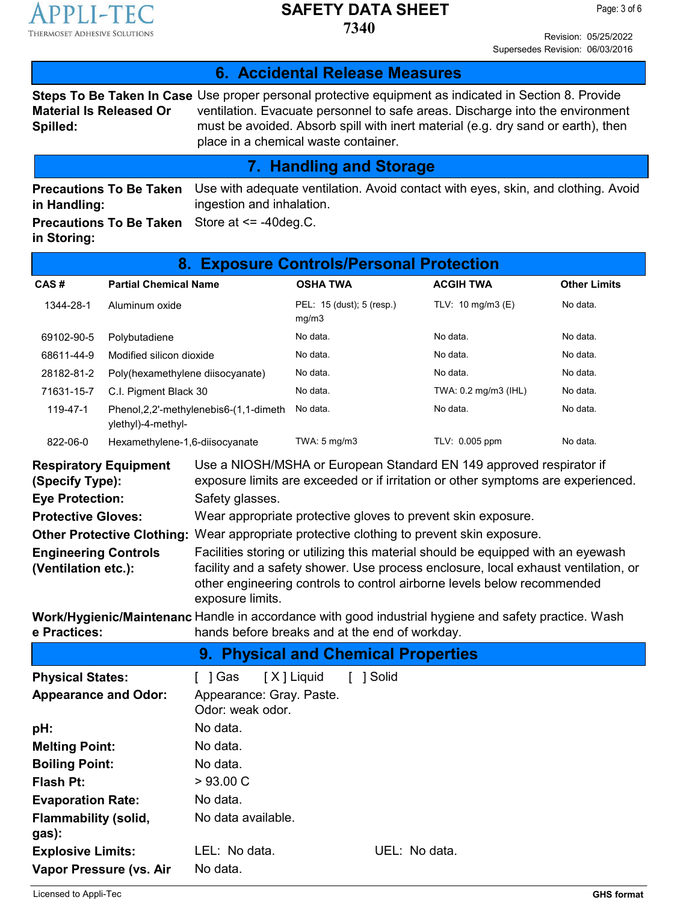

**7340**

Revision: 05/25/2022 Supersedes Revision: 06/03/2016

| 6. Accidental Release Measures                                            |                                                                  |                                                         |                                    |               |                                                                                                                                                                                                                                                                            |                                                                                    |
|---------------------------------------------------------------------------|------------------------------------------------------------------|---------------------------------------------------------|------------------------------------|---------------|----------------------------------------------------------------------------------------------------------------------------------------------------------------------------------------------------------------------------------------------------------------------------|------------------------------------------------------------------------------------|
| <b>Material Is Released Or</b><br>Spilled:                                |                                                                  | place in a chemical waste container.                    |                                    |               | Steps To Be Taken In Case Use proper personal protective equipment as indicated in Section 8. Provide<br>ventilation. Evacuate personnel to safe areas. Discharge into the environment<br>must be avoided. Absorb spill with inert material (e.g. dry sand or earth), then |                                                                                    |
|                                                                           |                                                                  |                                                         | <b>7. Handling and Storage</b>     |               |                                                                                                                                                                                                                                                                            |                                                                                    |
| in Handling:<br>in Storing:                                               | <b>Precautions To Be Taken</b><br><b>Precautions To Be Taken</b> | ingestion and inhalation.<br>Store at $\le$ -40 deg.C.  |                                    |               |                                                                                                                                                                                                                                                                            | Use with adequate ventilation. Avoid contact with eyes, skin, and clothing. Avoid  |
|                                                                           |                                                                  | 8. Exposure Controls/Personal Protection                |                                    |               |                                                                                                                                                                                                                                                                            |                                                                                    |
| CAS#                                                                      | <b>Partial Chemical Name</b>                                     |                                                         | <b>OSHA TWA</b>                    |               | <b>ACGIH TWA</b>                                                                                                                                                                                                                                                           | <b>Other Limits</b>                                                                |
| 1344-28-1                                                                 | Aluminum oxide                                                   |                                                         | PEL: 15 (dust); 5 (resp.)<br>mg/m3 |               | TLV: 10 mg/m3 (E)                                                                                                                                                                                                                                                          | No data.                                                                           |
| 69102-90-5                                                                | Polybutadiene                                                    |                                                         | No data.                           |               | No data.                                                                                                                                                                                                                                                                   | No data.                                                                           |
| 68611-44-9                                                                | Modified silicon dioxide                                         |                                                         | No data.                           |               | No data.                                                                                                                                                                                                                                                                   | No data.                                                                           |
| 28182-81-2                                                                | Poly(hexamethylene diisocyanate)                                 |                                                         | No data.                           |               | No data.                                                                                                                                                                                                                                                                   | No data.                                                                           |
| 71631-15-7                                                                | C.I. Pigment Black 30                                            |                                                         | No data.                           |               | TWA: 0.2 mg/m3 (IHL)                                                                                                                                                                                                                                                       | No data.                                                                           |
| 119-47-1                                                                  | ylethyl)-4-methyl-                                               | Phenol, 2, 2'-methylenebis6-(1, 1-dimeth                | No data.                           |               | No data.                                                                                                                                                                                                                                                                   | No data.                                                                           |
| 822-06-0                                                                  | Hexamethylene-1,6-diisocyanate                                   |                                                         | TWA: 5 mg/m3                       |               | TLV: 0.005 ppm                                                                                                                                                                                                                                                             | No data.                                                                           |
| <b>Respiratory Equipment</b><br>(Specify Type):<br><b>Eye Protection:</b> |                                                                  | Safety glasses.                                         |                                    |               | Use a NIOSH/MSHA or European Standard EN 149 approved respirator if<br>exposure limits are exceeded or if irritation or other symptoms are experienced.                                                                                                                    |                                                                                    |
| <b>Protective Gloves:</b>                                                 |                                                                  |                                                         |                                    |               | Wear appropriate protective gloves to prevent skin exposure.                                                                                                                                                                                                               |                                                                                    |
| <b>Engineering Controls</b><br>(Ventilation etc.):                        |                                                                  | exposure limits.                                        |                                    |               | Other Protective Clothing: Wear appropriate protective clothing to prevent skin exposure.<br>Facilities storing or utilizing this material should be equipped with an eyewash<br>other engineering controls to control airborne levels below recommended                   | facility and a safety shower. Use process enclosure, local exhaust ventilation, or |
| e Practices:                                                              |                                                                  | hands before breaks and at the end of workday.          |                                    |               | Work/Hygienic/Maintenanc Handle in accordance with good industrial hygiene and safety practice. Wash                                                                                                                                                                       |                                                                                    |
|                                                                           |                                                                  | 9. Physical and Chemical Properties                     |                                    |               |                                                                                                                                                                                                                                                                            |                                                                                    |
| <b>Physical States:</b><br><b>Appearance and Odor:</b>                    |                                                                  | [ ] Gas<br>Appearance: Gray. Paste.<br>Odor: weak odor. | [X] Liquid<br>[ ] Solid            |               |                                                                                                                                                                                                                                                                            |                                                                                    |
| pH:                                                                       |                                                                  | No data.                                                |                                    |               |                                                                                                                                                                                                                                                                            |                                                                                    |
| <b>Melting Point:</b>                                                     |                                                                  | No data.                                                |                                    |               |                                                                                                                                                                                                                                                                            |                                                                                    |
| <b>Boiling Point:</b>                                                     |                                                                  | No data.                                                |                                    |               |                                                                                                                                                                                                                                                                            |                                                                                    |
| <b>Flash Pt:</b>                                                          |                                                                  | >93.00 C                                                |                                    |               |                                                                                                                                                                                                                                                                            |                                                                                    |
| <b>Evaporation Rate:</b>                                                  |                                                                  | No data.                                                |                                    |               |                                                                                                                                                                                                                                                                            |                                                                                    |
| <b>Flammability (solid,</b><br>gas):                                      |                                                                  | No data available.                                      |                                    |               |                                                                                                                                                                                                                                                                            |                                                                                    |
| <b>Explosive Limits:</b>                                                  |                                                                  | LEL: No data.                                           |                                    | UEL: No data. |                                                                                                                                                                                                                                                                            |                                                                                    |
| Vapor Pressure (vs. Air                                                   |                                                                  | No data.                                                |                                    |               |                                                                                                                                                                                                                                                                            |                                                                                    |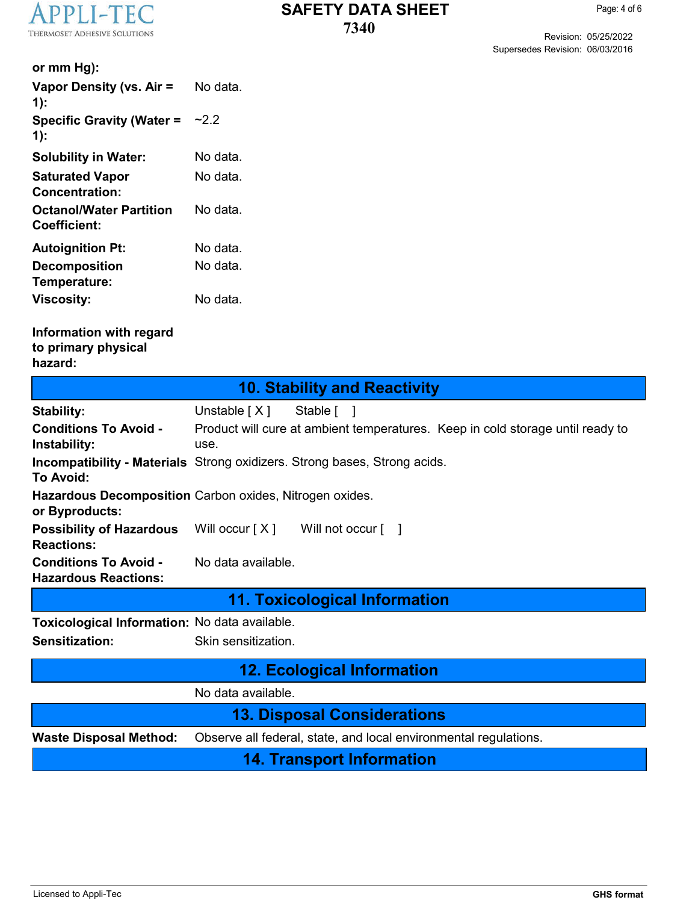

Page: 4 of 6

Revision: 05/25/2022 Supersedes Revision: 06/03/2016

| or mm Hg):                                                  |                                                                                        |
|-------------------------------------------------------------|----------------------------------------------------------------------------------------|
| Vapor Density (vs. Air =<br>$1)$ :                          | No data.                                                                               |
| <b>Specific Gravity (Water =</b><br>$1)$ :                  | ~2.2                                                                                   |
| <b>Solubility in Water:</b>                                 | No data.                                                                               |
| <b>Saturated Vapor</b><br><b>Concentration:</b>             | No data.                                                                               |
| <b>Octanol/Water Partition</b><br><b>Coefficient:</b>       | No data.                                                                               |
| <b>Autoignition Pt:</b>                                     | No data.                                                                               |
| <b>Decomposition</b><br>Temperature:                        | No data.                                                                               |
| <b>Viscosity:</b>                                           | No data.                                                                               |
| Information with regard<br>to primary physical<br>hazard:   |                                                                                        |
|                                                             | <b>10. Stability and Reactivity</b>                                                    |
| <b>Stability:</b>                                           | Unstable $[X]$<br>Stable [ ]                                                           |
| <b>Conditions To Avoid -</b><br>Instability:                | Product will cure at ambient temperatures. Keep in cold storage until ready to<br>use. |
| <b>To Avoid:</b>                                            | <b>Incompatibility - Materials</b> Strong oxidizers. Strong bases, Strong acids.       |
| or Byproducts:                                              | Hazardous Decomposition Carbon oxides, Nitrogen oxides.                                |
| <b>Possibility of Hazardous</b><br><b>Reactions:</b>        | Will occur $[X]$<br>Will not occur $\lceil \quad \rceil$                               |
| <b>Conditions To Avoid -</b><br><b>Hazardous Reactions:</b> | No data available.                                                                     |
|                                                             | 11. Toxicological Information                                                          |
| Toxicological Information: No data available.               |                                                                                        |
| Sensitization:                                              | Skin sensitization.                                                                    |
|                                                             | <b>12. Ecological Information</b>                                                      |
|                                                             | No data available.                                                                     |
|                                                             | <b>13. Disposal Considerations</b>                                                     |
| <b>Waste Disposal Method:</b>                               | Observe all federal, state, and local environmental regulations.                       |
|                                                             | <b>14. Transport Information</b>                                                       |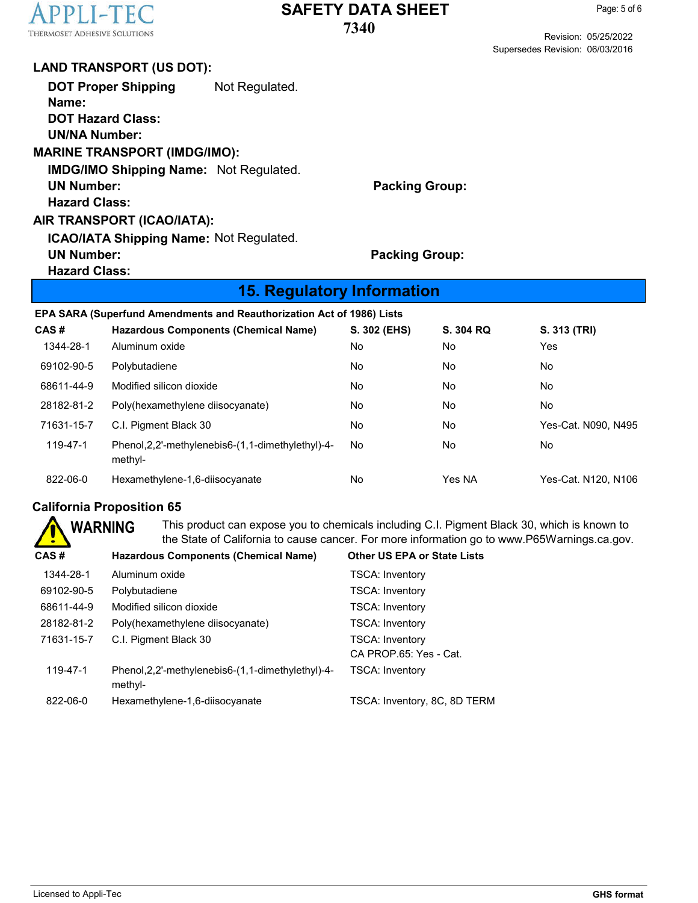

Revision: 05/25/2022 Supersedes Revision: 06/03/2016

#### **LAND TRANSPORT (US DOT):**

| <b>DOT Proper Shipping</b><br>Name:<br><b>DOT Hazard Class:</b> | Not Regulated. |                       |
|-----------------------------------------------------------------|----------------|-----------------------|
| <b>UN/NA Number:</b>                                            |                |                       |
| <b>MARINE TRANSPORT (IMDG/IMO):</b>                             |                |                       |
| <b>IMDG/IMO Shipping Name: Not Regulated.</b>                   |                |                       |
| <b>UN Number:</b>                                               |                | <b>Packing Group:</b> |
| <b>Hazard Class:</b>                                            |                |                       |
| AIR TRANSPORT (ICAO/IATA):                                      |                |                       |
| <b>ICAO/IATA Shipping Name: Not Regulated.</b>                  |                |                       |
| <b>UN Number:</b>                                               |                | <b>Packing Group:</b> |
| <b>Hazard Class:</b>                                            |                |                       |

#### **15. Regulatory Information**

**EPA SARA (Superfund Amendments and Reauthorization Act of 1986) Lists**

| CAS#       | <b>Hazardous Components (Chemical Name)</b>                     | S. 302 (EHS) | S. 304 RQ | S. 313 (TRI)        |
|------------|-----------------------------------------------------------------|--------------|-----------|---------------------|
| 1344-28-1  | Aluminum oxide                                                  | No           | No.       | Yes                 |
| 69102-90-5 | Polybutadiene                                                   | No           | No.       | No                  |
| 68611-44-9 | Modified silicon dioxide                                        | No           | No.       | No                  |
| 28182-81-2 | Poly(hexamethylene diisocyanate)                                | No           | No.       | No                  |
| 71631-15-7 | C.I. Pigment Black 30                                           | No           | No        | Yes-Cat. N090, N495 |
| 119-47-1   | Phenol, 2, 2'-methylenebis 6-(1, 1-dimethylethyl)-4-<br>methyl- | No           | No.       | No.                 |
| 822-06-0   | Hexamethylene-1,6-diisocyanate                                  | No           | Yes NA    | Yes-Cat. N120, N106 |

#### **California Proposition 65**

**WARNING** This product can expose you to chemicals including C.I. Pigment Black 30, which is known to the State of California to cause cancer. For more information go to www.P65Warnings.ca.gov.

| CAS #      | <b>Hazardous Components (Chemical Name)</b>                     | <b>Other US EPA or State Lists</b> |
|------------|-----------------------------------------------------------------|------------------------------------|
| 1344-28-1  | Aluminum oxide                                                  | <b>TSCA: Inventory</b>             |
| 69102-90-5 | Polybutadiene                                                   | <b>TSCA: Inventory</b>             |
| 68611-44-9 | Modified silicon dioxide                                        | <b>TSCA: Inventory</b>             |
| 28182-81-2 | Poly(hexamethylene diisocyanate)                                | <b>TSCA: Inventory</b>             |
| 71631-15-7 | C.I. Pigment Black 30                                           | <b>TSCA: Inventory</b>             |
|            |                                                                 | CA PROP.65: Yes - Cat.             |
| 119-47-1   | Phenol, 2, 2'-methylenebis 6-(1, 1-dimethylethyl)-4-<br>methyl- | <b>TSCA: Inventory</b>             |
| 822-06-0   | Hexamethylene-1,6-diisocyanate                                  | TSCA: Inventory, 8C, 8D TERM       |